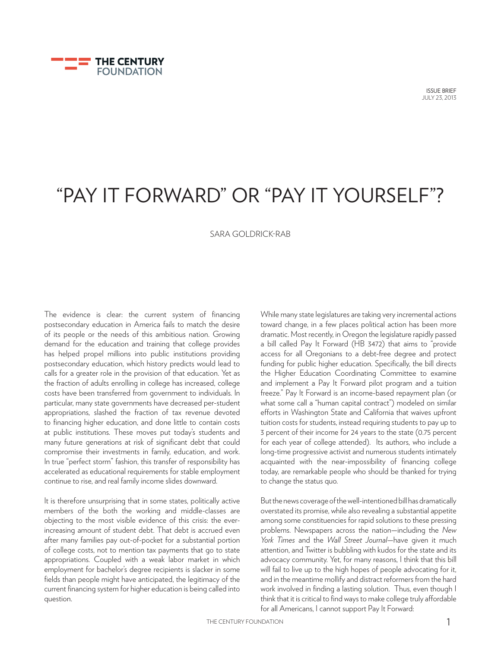

# "PAY IT FORWARD" OR "PAY IT YOURSELF"?

#### SARA GOLDRICK-RAB

The evidence is clear: the current system of financing postsecondary education in America fails to match the desire of its people or the needs of this ambitious nation. Growing demand for the education and training that college provides has helped propel millions into public institutions providing postsecondary education, which history predicts would lead to calls for a greater role in the provision of that education. Yet as the fraction of adults enrolling in college has increased, college costs have been transferred from government to individuals. In particular, many state governments have decreased per-student appropriations, slashed the fraction of tax revenue devoted to financing higher education, and done little to contain costs at public institutions. These moves put today's students and many future generations at risk of significant debt that could compromise their investments in family, education, and work. In true "perfect storm" fashion, this transfer of responsibility has accelerated as educational requirements for stable employment continue to rise, and real family income slides downward.

It is therefore unsurprising that in some states, politically active members of the both the working and middle-classes are objecting to the most visible evidence of this crisis: the everincreasing amount of student debt. That debt is accrued even after many families pay out-of-pocket for a substantial portion of college costs, not to mention tax payments that go to state appropriations. Coupled with a weak labor market in which employment for bachelor's degree recipients is slacker in some fields than people might have anticipated, the legitimacy of the current financing system for higher education is being called into question.

While many state legislatures are taking very incremental actions toward change, in a few places political action has been more dramatic. Most recently, in Oregon the legislature rapidly passed a bill called Pay It Forward (HB 3472) that aims to "provide access for all Oregonians to a debt-free degree and protect funding for public higher education. Specifically, the bill directs the Higher Education Coordinating Committee to examine and implement a Pay It Forward pilot program and a tuition freeze." Pay It Forward is an income-based repayment plan (or what some call a "human capital contract") modeled on similar efforts in Washington State and California that waives upfront tuition costs for students, instead requiring students to pay up to 3 percent of their income for 24 years to the state (0.75 percent for each year of college attended). Its authors, who include a long-time progressive activist and numerous students intimately acquainted with the near-impossibility of financing college today, are remarkable people who should be thanked for trying to change the status quo.

But the news coverage of the well-intentioned bill has dramatically overstated its promise, while also revealing a substantial appetite among some constituencies for rapid solutions to these pressing problems. Newspapers across the nation—including the *New York Times* and the *Wall Street Journal*—have given it much attention, and Twitter is bubbling with kudos for the state and its advocacy community. Yet, for many reasons, I think that this bill will fail to live up to the high hopes of people advocating for it, and in the meantime mollify and distract reformers from the hard work involved in finding a lasting solution. Thus, even though I think that it is critical to find ways to make college truly affordable for all Americans, I cannot support Pay It Forward: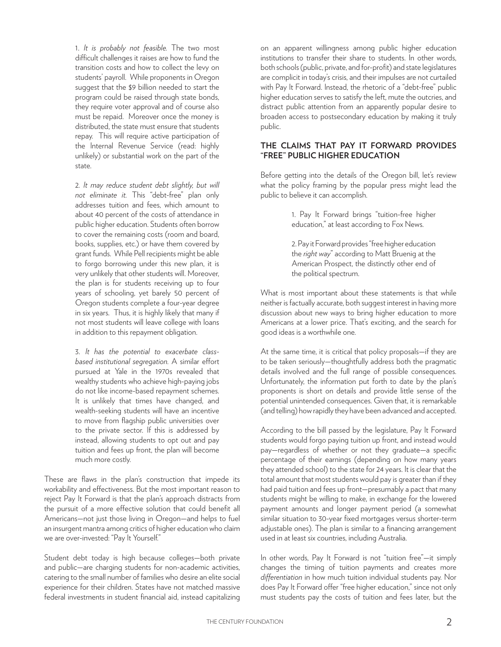1. *It is probably not feasible.* The two most difficult challenges it raises are how to fund the transition costs and how to collect the levy on students' payroll. While proponents in Oregon suggest that the \$9 billion needed to start the program could be raised through state bonds, they require voter approval and of course also must be repaid. Moreover once the money is distributed, the state must ensure that students repay. This will require active participation of the Internal Revenue Service (read: highly unlikely) or substantial work on the part of the state.

2*. It may reduce student debt slightly, but will not eliminate it.* This "debt-free" plan only addresses tuition and fees, which amount to about 40 percent of the costs of attendance in public higher education. Students often borrow to cover the remaining costs (room and board, books, supplies, etc.) or have them covered by grant funds. While Pell recipients might be able to forgo borrowing under this new plan, it is very unlikely that other students will. Moreover, the plan is for students receiving up to four years of schooling, yet barely 50 percent of Oregon students complete a four-year degree in six years. Thus, it is highly likely that many if not most students will leave college with loans in addition to this repayment obligation.

3. *It has the potential to exacerbate classbased institutional segregation.* A similar effort pursued at Yale in the 1970s revealed that wealthy students who achieve high-paying jobs do not like income-based repayment schemes. It is unlikely that times have changed, and wealth-seeking students will have an incentive to move from flagship public universities over to the private sector. If this is addressed by instead, allowing students to opt out and pay tuition and fees up front, the plan will become much more costly.

These are flaws in the plan's construction that impede its workability and effectiveness. But the most important reason to reject Pay It Forward is that the plan's approach distracts from the pursuit of a more effective solution that could benefit all Americans—not just those living in Oregon—and helps to fuel an insurgent mantra among critics of higher education who claim we are over-invested: "Pay It Yourself."

Student debt today is high because colleges—both private and public—are charging students for non-academic activities, catering to the small number of families who desire an elite social experience for their children. States have not matched massive federal investments in student financial aid, instead capitalizing on an apparent willingness among public higher education institutions to transfer their share to students. In other words, both schools (public, private, and for-profit) and state legislatures are complicit in today's crisis, and their impulses are not curtailed with Pay It Forward. Instead, the rhetoric of a "debt-free" public higher education serves to satisfy the left, mute the outcries, and distract public attention from an apparently popular desire to broaden access to postsecondary education by making it truly public.

#### **THE CLAIMS THAT PAY IT FORWARD PROVIDES "FREE" PUBLIC HIGHER EDUCATION**

Before getting into the details of the Oregon bill, let's review what the policy framing by the popular press might lead the public to believe it can accomplish.

> 1. Pay It Forward brings "tuition-free higher education," at least according to Fox News.

> 2. Pay it Forward provides "free higher education the *right way*" according to Matt Bruenig at the American Prospect, the distinctly other end of the political spectrum.

What is most important about these statements is that while neither is factually accurate, both suggest interest in having more discussion about new ways to bring higher education to more Americans at a lower price. That's exciting, and the search for good ideas is a worthwhile one.

At the same time, it is critical that policy proposals—if they are to be taken seriously—thoughtfully address both the pragmatic details involved and the full range of possible consequences. Unfortunately, the information put forth to date by the plan's proponents is short on details and provide little sense of the potential unintended consequences. Given that, it is remarkable (and telling) how rapidly they have been advanced and accepted.

According to the bill passed by the legislature, Pay It Forward students would forgo paying tuition up front, and instead would pay—regardless of whether or not they graduate—a specific percentage of their earnings (depending on how many years they attended school) to the state for 24 years. It is clear that the total amount that most students would pay is greater than if they had paid tuition and fees up front—presumably a pact that many students might be willing to make, in exchange for the lowered payment amounts and longer payment period (a somewhat similar situation to 30-year fixed mortgages versus shorter-term adjustable ones). The plan is similar to a financing arrangement used in at least six countries, including Australia.

In other words, Pay It Forward is not "tuition free"—it simply changes the timing of tuition payments and creates more *differentiation* in how much tuition individual students pay. Nor does Pay It Forward offer "free higher education," since not only must students pay the costs of tuition and fees later, but the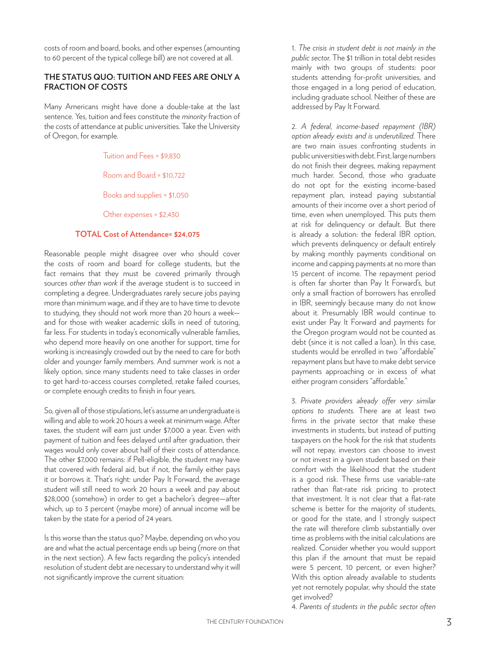costs of room and board, books, and other expenses (amounting to 60 percent of the typical college bill) are not covered at all.

### **THE STATUS QUO: TUITION AND FEES ARE ONLY A FRACTION OF COSTS**

Many Americans might have done a double-take at the last sentence. Yes, tuition and fees constitute the *minority* fraction of the costs of attendance at public universities. Take the University of Oregon, for example.

#### Tuition and Fees = \$9,830

Room and Board = \$10,722

Books and supplies = \$1,050

Other expenses = \$2,430

#### **TOTAL Cost of Attendance= \$24,075**

Reasonable people might disagree over who should cover the costs of room and board for college students, but the fact remains that they must be covered primarily through sources *other than work* if the average student is to succeed in completing a degree. Undergraduates rarely secure jobs paying more than minimum wage, and if they are to have time to devote to studying, they should not work more than 20 hours a week and for those with weaker academic skills in need of tutoring, far less. For students in today's economically vulnerable families, who depend more heavily on one another for support, time for working is increasingly crowded out by the need to care for both older and younger family members. And summer work is not a likely option, since many students need to take classes in order to get hard-to-access courses completed, retake failed courses, or complete enough credits to finish in four years.

So, given all of those stipulations, let's assume an undergraduate is willing and able to work 20 hours a week at minimum wage. After taxes, the student will earn just under \$7,000 a year. Even with payment of tuition and fees delayed until after graduation, their wages would only cover about half of their costs of attendance. The other \$7,000 remains: if Pell-eligible, the student may have that covered with federal aid, but if not, the family either pays it or borrows it. That's right: under Pay It Forward, the average student will still need to work 20 hours a week and pay about \$28,000 (somehow) in order to get a bachelor's degree—after which, up to 3 percent (maybe more) of annual income will be taken by the state for a period of 24 years.

Is this worse than the status quo? Maybe, depending on who you are and what the actual percentage ends up being (more on that in the next section). A few facts regarding the policy's intended resolution of student debt are necessary to understand why it will not significantly improve the current situation:

1. *The crisis in student debt is not mainly in the public sector.* The \$1 trillion in total debt resides mainly with two groups of students: poor students attending for-profit universities, and those engaged in a long period of education, including graduate school. Neither of these are addressed by Pay It Forward.

2. *A federal, income-based repayment (IBR) option already exists and is underutilized.* There are two main issues confronting students in public universities with debt. First, large numbers do not finish their degrees, making repayment much harder. Second, those who graduate do not opt for the existing income-based repayment plan, instead paying substantial amounts of their income over a short period of time, even when unemployed. This puts them at risk for delinquency or default. But there is already a solution: the federal IBR option, which prevents delinquency or default entirely by making monthly payments conditional on income and capping payments at no more than 15 percent of income. The repayment period is often far shorter than Pay It Forward's, but only a small fraction of borrowers has enrolled in IBR, seemingly because many do not know about it. Presumably IBR would continue to exist under Pay It Forward and payments for the Oregon program would not be counted as debt (since it is not called a loan). In this case, students would be enrolled in two "affordable" repayment plans but have to make debt service payments approaching or in excess of what either program considers "affordable."

3. *Private providers already offer very similar options to students.* There are at least two firms in the private sector that make these investments in students, but instead of putting taxpayers on the hook for the risk that students will not repay, investors can choose to invest or not invest in a given student based on their comfort with the likelihood that the student is a good risk. These firms use variable-rate rather than flat-rate risk pricing to protect that investment. It is not clear that a flat-rate scheme is better for the majority of students, or good for the state, and I strongly suspect the rate will therefore climb substantially over time as problems with the initial calculations are realized. Consider whether you would support this plan if the amount that must be repaid were 5 percent, 10 percent, or even higher? With this option already available to students yet not remotely popular, why should the state get involved?

4. *Parents of students in the public sector often*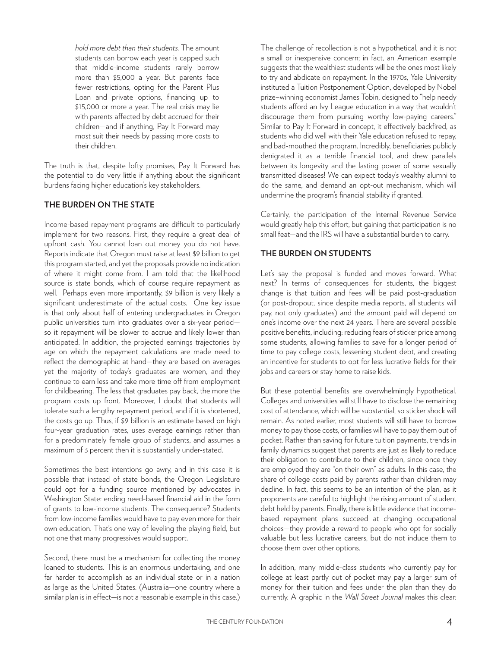*hold more debt than their students.* The amount students can borrow each year is capped such that middle-income students rarely borrow more than \$5,000 a year. But parents face fewer restrictions, opting for the Parent Plus Loan and private options, financing up to \$15,000 or more a year. The real crisis may lie with parents affected by debt accrued for their children—and if anything, Pay It Forward may most suit their needs by passing more costs to their children.

The truth is that, despite lofty promises, Pay It Forward has the potential to do very little if anything about the significant burdens facing higher education's key stakeholders.

#### **THE BURDEN ON THE STATE**

Income-based repayment programs are difficult to particularly implement for two reasons. First, they require a great deal of upfront cash. You cannot loan out money you do not have. Reports indicate that Oregon must raise at least \$9 billion to get this program started, and yet the proposals provide no indication of where it might come from. I am told that the likelihood source is state bonds, which of course require repayment as well. Perhaps even more importantly, \$9 billion is very likely a significant underestimate of the actual costs. One key issue is that only about half of entering undergraduates in Oregon public universities turn into graduates over a six-year period so it repayment will be slower to accrue and likely lower than anticipated. In addition, the projected earnings trajectories by age on which the repayment calculations are made need to reflect the demographic at hand—they are based on averages yet the majority of today's graduates are women, and they continue to earn less and take more time off from employment for childbearing. The less that graduates pay back, the more the program costs up front. Moreover, I doubt that students will tolerate such a lengthy repayment period, and if it is shortened, the costs go up. Thus, if \$9 billion is an estimate based on high four-year graduation rates, uses average earnings rather than for a predominately female group of students, and assumes a maximum of 3 percent then it is substantially under-stated.

Sometimes the best intentions go awry, and in this case it is possible that instead of state bonds, the Oregon Legislature could opt for a funding source mentioned by advocates in Washington State: ending need-based financial aid in the form of grants to low-income students. The consequence? Students from low-income families would have to pay even more for their own education. That's one way of leveling the playing field, but not one that many progressives would support.

Second, there must be a mechanism for collecting the money loaned to students. This is an enormous undertaking, and one far harder to accomplish as an individual state or in a nation as large as the United States. (Australia—one country where a similar plan is in effect—is not a reasonable example in this case.) The challenge of recollection is not a hypothetical, and it is not a small or inexpensive concern; in fact, an American example suggests that the wealthiest students will be the ones most likely to try and abdicate on repayment. In the 1970s, Yale University instituted a Tuition Postponement Option, developed by Nobel prize–winning economist James Tobin, designed to "help needy students afford an Ivy League education in a way that wouldn't discourage them from pursuing worthy low-paying careers." Similar to Pay It Forward in concept, it effectively backfired, as students who did well with their Yale education refused to repay, and bad-mouthed the program. Incredibly, beneficiaries publicly denigrated it as a terrible financial tool, and drew parallels between its longevity and the lasting power of some sexually transmitted diseases! We can expect today's wealthy alumni to do the same, and demand an opt-out mechanism, which will undermine the program's financial stability if granted.

Certainly, the participation of the Internal Revenue Service would greatly help this effort, but gaining that participation is no small feat—and the IRS will have a substantial burden to carry.

## **THE BURDEN ON STUDENTS**

Let's say the proposal is funded and moves forward. What next? In terms of consequences for students, the biggest change is that tuition and fees will be paid post-graduation (or post-dropout, since despite media reports, all students will pay, not only graduates) and the amount paid will depend on one's income over the next 24 years. There are several possible positive benefits, including: reducing fears of sticker price among some students, allowing families to save for a longer period of time to pay college costs, lessening student debt, and creating an incentive for students to opt for less lucrative fields for their jobs and careers or stay home to raise kids.

But these potential benefits are overwhelmingly hypothetical. Colleges and universities will still have to disclose the remaining cost of attendance, which will be substantial, so sticker shock will remain. As noted earlier, most students will still have to borrow money to pay those costs, or families will have to pay them out of pocket. Rather than saving for future tuition payments, trends in family dynamics suggest that parents are just as likely to reduce their obligation to contribute to their children, since once they are employed they are "on their own" as adults. In this case, the share of college costs paid by parents rather than children may decline. In fact, this seems to be an intention of the plan, as it proponents are careful to highlight the rising amount of student debt held by parents. Finally, there is little evidence that incomebased repayment plans succeed at changing occupational choices—they provide a reward to people who opt for socially valuable but less lucrative careers, but do not induce them to choose them over other options.

In addition, many middle-class students who currently pay for college at least partly out of pocket may pay a larger sum of money for their tuition and fees under the plan than they do currently. A graphic in the *Wall Street Journal* makes this clear: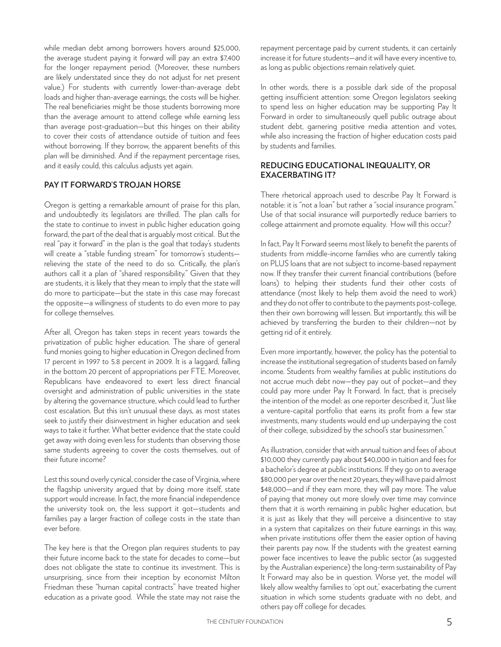while median debt among borrowers hovers around \$25,000, the average student paying it forward will pay an extra \$7,400 for the longer repayment period. (Moreover, these numbers are likely understated since they do not adjust for net present value.) For students with currently lower-than-average debt loads and higher than-average earnings, the costs will be higher. The real beneficiaries might be those students borrowing more than the average amount to attend college while earning less than average post-graduation—but this hinges on their ability to cover their costs of attendance outside of tuition and fees without borrowing. If they borrow, the apparent benefits of this plan will be diminished. And if the repayment percentage rises, and it easily could, this calculus adjusts yet again.

#### **PAY IT FORWARD'S TROJAN HORSE**

Oregon is getting a remarkable amount of praise for this plan, and undoubtedly its legislators are thrilled. The plan calls for the state to continue to invest in public higher education going forward, the part of the deal that is arguably most critical. But the real "pay it forward" in the plan is the goal that today's students will create a "stable funding stream" for tomorrow's students relieving the state of the need to do so. Critically, the plan's authors call it a plan of "shared responsibility." Given that they are students, it is likely that they mean to imply that the state will do more to participate—but the state in this case may forecast the opposite—a willingness of students to do even more to pay for college themselves.

After all, Oregon has taken steps in recent years towards the privatization of public higher education. The share of general fund monies going to higher education in Oregon declined from 17 percent in 1997 to 5.8 percent in 2009. It is a laggard, falling in the bottom 20 percent of appropriations per FTE. Moreover, Republicans have endeavored to exert less direct financial oversight and administration of public universities in the state by altering the governance structure, which could lead to further cost escalation. But this isn't unusual these days, as most states seek to justify their disinvestment in higher education and seek ways to take it further. What better evidence that the state could get away with doing even less for students than observing those same students agreeing to cover the costs themselves, out of their future income?

Lest this sound overly cynical, consider the case of Virginia, where the flagship university argued that by doing more itself, state support would increase. In fact, the more financial independence the university took on, the less support it got—students and families pay a larger fraction of college costs in the state than ever before.

The key here is that the Oregon plan requires students to pay their future income back to the state for decades to come—but does not obligate the state to continue its investment. This is unsurprising, since from their inception by economist Milton Friedman these "human capital contracts" have treated higher education as a private good. While the state may not raise the repayment percentage paid by current students, it can certainly increase it for future students—and it will have every incentive to, as long as public objections remain relatively quiet.

In other words, there is a possible dark side of the proposal getting insufficient attention: some Oregon legislators seeking to spend less on higher education may be supporting Pay It Forward in order to simultaneously quell public outrage about student debt, garnering positive media attention and votes, while also increasing the fraction of higher education costs paid by students and families.

#### **REDUCING EDUCATIONAL INEQUALITY, OR EXACERBATING IT?**

There rhetorical approach used to describe Pay It Forward is notable: it is "not a loan" but rather a "social insurance program." Use of that social insurance will purportedly reduce barriers to college attainment and promote equality. How will this occur?

In fact, Pay It Forward seems most likely to benefit the parents of students from middle-income families who are currently taking on PLUS loans that are not subject to income-based repayment now. If they transfer their current financial contributions (before loans) to helping their students fund their other costs of attendance (most likely to help them avoid the need to work) and they do not offer to contribute to the payments post-college, then their own borrowing will lessen. But importantly, this will be achieved by transferring the burden to their children—not by getting rid of it entirely.

Even more importantly, however, the policy has the potential to increase the institutional segregation of students based on family income. Students from wealthy families at public institutions do not accrue much debt now—they pay out of pocket—and they could pay more under Pay It Forward. In fact, that is precisely the intention of the model: as one reporter described it, "Just like a venture-capital portfolio that earns its profit from a few star investments, many students would end up underpaying the cost of their college, subsidized by the school's star businessmen."

As illustration, consider that with annual tuition and fees of about \$10,000 they currently pay about \$40,000 in tuition and fees for a bachelor's degree at public institutions. If they go on to average \$80,000 per year over the next 20 years, they will have paid almost \$48,000—and if they earn more, they will pay more. The value of paying that money out more slowly over time may convince them that it is worth remaining in public higher education, but it is just as likely that they will perceive a disincentive to stay in a system that capitalizes on their future earnings in this way, when private institutions offer them the easier option of having their parents pay now. If the students with the greatest earning power face incentives to leave the public sector (as suggested by the Australian experience) the long-term sustainability of Pay It Forward may also be in question. Worse yet, the model will likely allow wealthy families to 'opt out,' exacerbating the current situation in which some students graduate with no debt, and others pay off college for decades.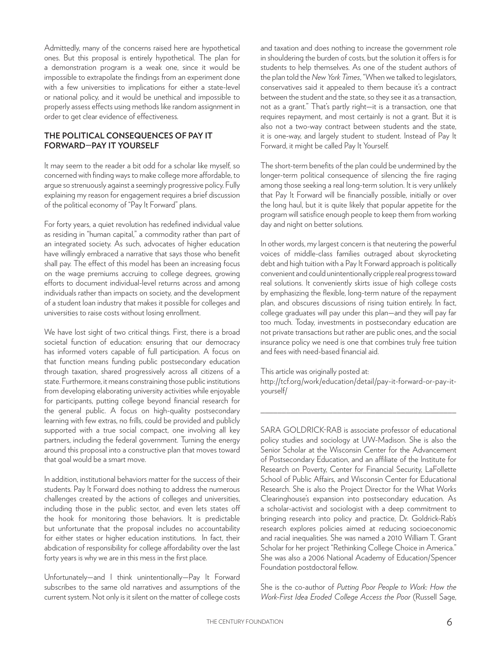Admittedly, many of the concerns raised here are hypothetical ones. But this proposal is entirely hypothetical. The plan for a demonstration program is a weak one, since it would be impossible to extrapolate the findings from an experiment done with a few universities to implications for either a state-level or national policy, and it would be unethical and impossible to properly assess effects using methods like random assignment in order to get clear evidence of effectiveness.

#### **THE POLITICAL CONSEQUENCES OF PAY IT FORWARD—PAY IT YOURSELF**

It may seem to the reader a bit odd for a scholar like myself, so concerned with finding ways to make college more affordable, to argue so strenuously against a seemingly progressive policy. Fully explaining my reason for engagement requires a brief discussion of the political economy of "Pay It Forward" plans.

For forty years, a quiet revolution has redefined individual value as residing in "human capital," a commodity rather than part of an integrated society. As such, advocates of higher education have willingly embraced a narrative that says those who benefit shall pay. The effect of this model has been an increasing focus on the wage premiums accruing to college degrees, growing efforts to document individual-level returns across and among individuals rather than impacts on society, and the development of a student loan industry that makes it possible for colleges and universities to raise costs without losing enrollment.

We have lost sight of two critical things. First, there is a broad societal function of education: ensuring that our democracy has informed voters capable of full participation. A focus on that function means funding public postsecondary education through taxation, shared progressively across all citizens of a state. Furthermore, it means constraining those public institutions from developing elaborating university activities while enjoyable for participants, putting college beyond financial research for the general public. A focus on high-quality postsecondary learning with few extras, no frills, could be provided and publicly supported with a true social compact, one involving all key partners, including the federal government. Turning the energy around this proposal into a constructive plan that moves toward that goal would be a smart move.

In addition, institutional behaviors matter for the success of their students. Pay It Forward does nothing to address the numerous challenges created by the actions of colleges and universities, including those in the public sector, and even lets states off the hook for monitoring those behaviors. It is predictable but unfortunate that the proposal includes no accountability for either states or higher education institutions. In fact, their abdication of responsibility for college affordability over the last forty years is why we are in this mess in the first place.

Unfortunately—and I think unintentionally—Pay It Forward subscribes to the same old narratives and assumptions of the current system. Not only is it silent on the matter of college costs and taxation and does nothing to increase the government role in shouldering the burden of costs, but the solution it offers is for students to help themselves. As one of the student authors of the plan told the *New York Times*, "When we talked to legislators, conservatives said it appealed to them because it's a contract between the student and the state, so they see it as a transaction, not as a grant." That's partly right—it is a transaction, one that requires repayment, and most certainly is not a grant. But it is also not a two-way contract between students and the state, it is one-way, and largely student to student. Instead of Pay It Forward, it might be called Pay It Yourself.

The short-term benefits of the plan could be undermined by the longer-term political consequence of silencing the fire raging among those seeking a real long-term solution. It is very unlikely that Pay It Forward will be financially possible, initially or over the long haul, but it is quite likely that popular appetite for the program will satisfice enough people to keep them from working day and night on better solutions.

In other words, my largest concern is that neutering the powerful voices of middle-class families outraged about skyrocketing debt and high tuition with a Pay It Forward approach is politically convenient and could unintentionally cripple real progress toward real solutions. It conveniently skirts issue of high college costs by emphasizing the flexible, long-term nature of the repayment plan, and obscures discussions of rising tuition entirely. In fact, college graduates will pay under this plan—and they will pay far too much. Today, investments in postsecondary education are not private transactions but rather are public ones, and the social insurance policy we need is one that combines truly free tuition and fees with need-based financial aid.

This article was originally posted at:

http://tcf.org/work/education/detail/pay-it-forward-or-pay-ityourself/

\_\_\_\_\_\_\_\_\_\_\_\_\_\_\_\_\_\_\_\_\_\_\_\_\_\_\_\_\_\_\_\_\_\_\_\_\_\_\_\_\_\_\_\_\_\_

SARA GOLDRICK-RAB is associate professor of educational policy studies and sociology at UW-Madison. She is also the Senior Scholar at the Wisconsin Center for the Advancement of Postsecondary Education, and an affiliate of the Institute for Research on Poverty, Center for Financial Security, LaFollette School of Public Affairs, and Wisconsin Center for Educational Research. She is also the Project Director for the What Works Clearinghouse's expansion into postsecondary education. As a scholar-activist and sociologist with a deep commitment to bringing research into policy and practice, Dr. Goldrick-Rab's research explores policies aimed at reducing socioeconomic and racial inequalities. She was named a 2010 William T. Grant Scholar for her project "Rethinking College Choice in America." She was also a 2006 National Academy of Education/Spencer Foundation postdoctoral fellow.

She is the co-author of *Putting Poor People to Work: How the Work-First Idea Eroded College Access the Poor* (Russell Sage,